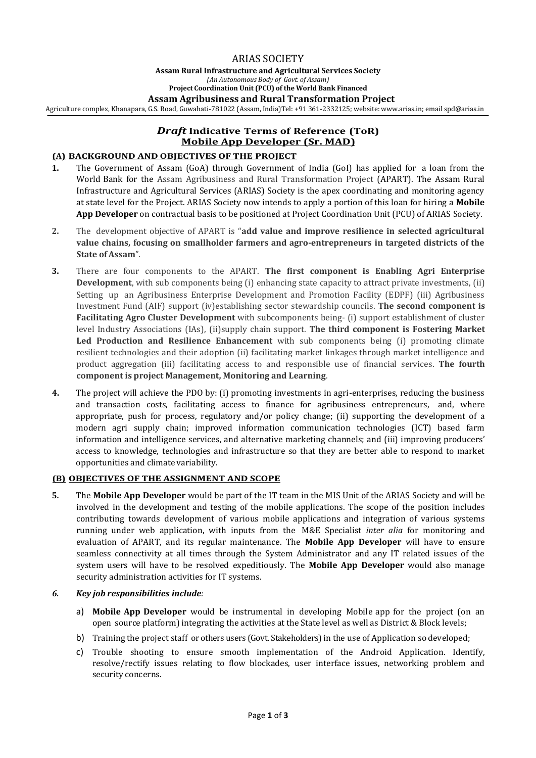## ARIAS SOCIETY

**Assam Rural Infrastructure and Agricultural Services Society** *(An Autonomous Body of Govt. of Assam)* **Project Coordination Unit (PCU) of the World Bank Financed**

#### **Assam Agribusiness and Rural Transformation Project**

Agriculture complex, Khanapara, G.S. Road, Guwahati-781022 (Assam, India)Tel: +91 361-2332125; website: www.arias.in; emai[l spd@arias.in](mailto:spd@arias.in)

# *Draft* **Indicative Terms of Reference (ToR) Mobile App Developer (Sr. MAD)**

#### **(A) BACKGROUND AND OBJECTIVES OF THE PROJECT**

- **1.** The Government of Assam (GoA) through Government of India (GoI) has applied for a loan from the World Bank for the Assam Agribusiness and Rural Transformation Project (APART). The Assam Rural Infrastructure and Agricultural Services (ARIAS) Society is the apex coordinating and monitoring agency at state level for the Project. ARIAS Society now intends to apply a portion of this loan for hiring a **Mobile App Developer** on contractual basis to be positioned at Project Coordination Unit (PCU) of ARIAS Society.
- **2.** The development objective of APART is "**add value and improve resilience in selected agricultural value chains, focusing on smallholder farmers and agro-entrepreneurs in targeted districts of the State of Assam**".
- **3.** There are four components to the APART. **The first component is Enabling Agri Enterprise Development**, with sub components being (i) enhancing state capacity to attract private investments, (ii) Setting up an Agribusiness Enterprise Development and Promotion Facility (EDPF) (iii) Agribusiness Investment Fund (AIF) support (iv)establishing sector stewardship councils. **The second component is Facilitating Agro Cluster Development** with subcomponents being- (i) support establishment of cluster level Industry Associations (IAs), (ii)supply chain support. **The third component is Fostering Market Led Production and Resilience Enhancement** with sub components being (i) promoting climate resilient technologies and their adoption (ii) facilitating market linkages through market intelligence and product aggregation (iii) facilitating access to and responsible use of financial services. **The fourth component is project Management, Monitoring and Learning**.
- **4.** The project will achieve the PDO by: (i) promoting investments in agri-enterprises, reducing the business and transaction costs, facilitating access to finance for agribusiness entrepreneurs, and, where appropriate, push for process, regulatory and/or policy change; (ii) supporting the development of a modern agri supply chain; improved information communication technologies (ICT) based farm information and intelligence services, and alternative marketing channels; and (iii) improving producers' access to knowledge, technologies and infrastructure so that they are better able to respond to market opportunities and climate variability.

#### **(B) OBJECTIVES OF THE ASSIGNMENT AND SCOPE**

**5.** The **Mobile App Developer** would be part of the IT team in the MIS Unit of the ARIAS Society and will be involved in the development and testing of the mobile applications. The scope of the position includes contributing towards development of various mobile applications and integration of various systems running under web application, with inputs from the M&E Specialist *inter alia* for monitoring and evaluation of APART, and its regular maintenance. The **Mobile App Developer** will have to ensure seamless connectivity at all times through the System Administrator and any IT related issues of the system users will have to be resolved expeditiously. The **Mobile App Developer** would also manage security administration activities for IT systems.

#### *6. Key job responsibilities include:*

- a) **Mobile App Developer** would be instrumental in developing Mobile app for the project (on an open source platform) integrating the activities at the State level as well as District & Block levels;
- b) Training the project staff or others users (Govt. Stakeholders) in the use of Application so developed;
- c) Trouble shooting to ensure smooth implementation of the Android Application. Identify, resolve/rectify issues relating to flow blockades, user interface issues, networking problem and security concerns.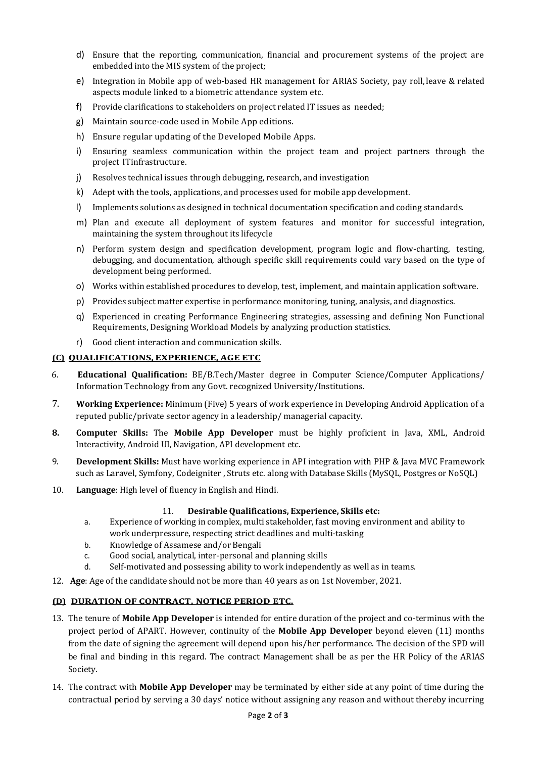- d) Ensure that the reporting, communication, financial and procurement systems of the project are embedded into the MIS system of the project;
- e) Integration in Mobile app of web-based HR management for ARIAS Society, pay roll,leave & related aspects module linked to a biometric attendance system etc.
- f) Provide clarifications to stakeholders on project related IT issues as needed;
- g) Maintain source-code used in Mobile App editions.
- h) Ensure regular updating of the Developed Mobile Apps.
- i) Ensuring seamless communication within the project team and project partners through the project ITinfrastructure.
- j) Resolves technical issues through debugging, research, and investigation
- k) Adept with the tools, applications, and processes used for mobile app development.
- l) Implements solutions as designed in technical documentation specification and coding standards.
- m) Plan and execute all deployment of system features and monitor for successful integration, maintaining the system throughout its lifecycle
- n) Perform system design and specification development, program logic and flow-charting, testing, debugging, and documentation, although specific skill requirements could vary based on the type of development being performed.
- o) Works within established procedures to develop, test, implement, and maintain application software.
- p) Provides subject matter expertise in performance monitoring, tuning, analysis, and diagnostics.
- q) Experienced in creating Performance Engineering strategies, assessing and defining Non Functional Requirements, Designing Workload Models by analyzing production statistics.
- r) Good client interaction and communication skills.

### **(C) QUALIFICATIONS, EXPERIENCE, AGE ETC**

- 6. **Educational Qualification:** BE/B.Tech**/**Master degree in Computer Science/Computer Applications/ Information Technology from any Govt. recognized University/Institutions.
- 7. **Working Experience:** Minimum (Five) 5 years of work experience in Developing Android Application of a reputed public/private sector agency in a leadership/ managerial capacity.
- **8. Computer Skills:** The **Mobile App Developer** must be highly proficient in Java, XML, Android Interactivity, Android UI, Navigation, API development etc.
- 9. **Development Skills:** Must have working experience in API integration with PHP & Java MVC Framework such as Laravel, Symfony, Codeigniter , Struts etc. along with Database Skills (MySQL, Postgres or NoSQL)
- 10. **Language**: High level of fluency in English and Hindi.

## 11. **Desirable Qualifications, Experience, Skills etc:**

- a. Experience of working in complex, multi stakeholder, fast moving environment and ability to work underpressure, respecting strict deadlines and multi-tasking
- b. Knowledge of Assamese and/or Bengali
- c. Good social, analytical, inter-personal and planning skills
- d. Self-motivated and possessing ability to work independently as well as in teams.
- 12. **Age**: Age of the candidate should not be more than 40 years as on 1st November, 2021.

## **(D) DURATION OF CONTRACT, NOTICE PERIOD ETC.**

- 13. The tenure of **Mobile App Developer** is intended for entire duration of the project and co-terminus with the project period of APART. However, continuity of the **Mobile App Developer** beyond eleven (11) months from the date of signing the agreement will depend upon his/her performance. The decision of the SPD will be final and binding in this regard. The contract Management shall be as per the HR Policy of the ARIAS Society.
- 14. The contract with **Mobile App Developer** may be terminated by either side at any point of time during the contractual period by serving a 30 days' notice without assigning any reason and without thereby incurring